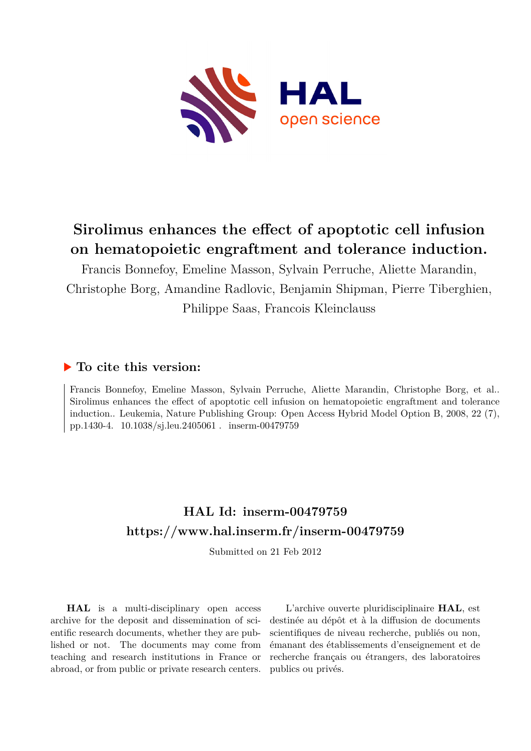

# **Sirolimus enhances the effect of apoptotic cell infusion on hematopoietic engraftment and tolerance induction.**

Francis Bonnefoy, Emeline Masson, Sylvain Perruche, Aliette Marandin, Christophe Borg, Amandine Radlovic, Benjamin Shipman, Pierre Tiberghien, Philippe Saas, Francois Kleinclauss

### **To cite this version:**

Francis Bonnefoy, Emeline Masson, Sylvain Perruche, Aliette Marandin, Christophe Borg, et al.. Sirolimus enhances the effect of apoptotic cell infusion on hematopoietic engraftment and tolerance induction.. Leukemia, Nature Publishing Group: Open Access Hybrid Model Option B, 2008, 22 (7), pp.1430-4. 10.1038/sj.leu.2405061. inserm-00479759

## **HAL Id: inserm-00479759 <https://www.hal.inserm.fr/inserm-00479759>**

Submitted on 21 Feb 2012

**HAL** is a multi-disciplinary open access archive for the deposit and dissemination of scientific research documents, whether they are published or not. The documents may come from teaching and research institutions in France or abroad, or from public or private research centers.

L'archive ouverte pluridisciplinaire **HAL**, est destinée au dépôt et à la diffusion de documents scientifiques de niveau recherche, publiés ou non, émanant des établissements d'enseignement et de recherche français ou étrangers, des laboratoires publics ou privés.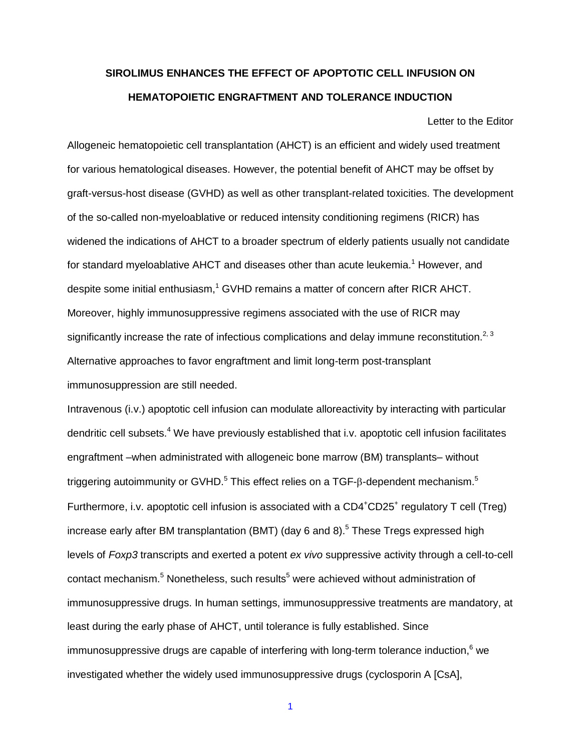### **SIROLIMUS ENHANCES THE EFFECT OF APOPTOTIC CELL INFUSION ON HEMATOPOIETIC ENGRAFTMENT AND TOLERANCE INDUCTION**

Letter to the Editor

Allogeneic hematopoietic cell transplantation (AHCT) is an efficient and widely used treatment for various hematological diseases. However, the potential benefit of AHCT may be offset by graft-versus-host disease (GVHD) as well as other transplant-related toxicities. The development of the so-called non-myeloablative or reduced intensity conditioning regimens (RICR) has widened the indications of AHCT to a broader spectrum of elderly patients usually not candidate for standard myeloablative AHCT and diseases other than acute leukemia.<sup>1</sup> However, and despite some initial enthusiasm, $1$  GVHD remains a matter of concern after RICR AHCT. Moreover, highly immunosuppressive regimens associated with the use of RICR may significantly increase the rate of infectious complications and delay immune reconstitution.<sup>2, 3</sup> Alternative approaches to favor engraftment and limit long-term post-transplant immunosuppression are still needed.

Intravenous (i.v.) apoptotic cell infusion can modulate alloreactivity by interacting with particular dendritic cell subsets.<sup>4</sup> We have previously established that i.v. apoptotic cell infusion facilitates engraftment –when administrated with allogeneic bone marrow (BM) transplants– without triggering autoimmunity or GVHD.<sup>5</sup> This effect relies on a TGF-β-dependent mechanism.<sup>5</sup> Furthermore, i.v. apoptotic cell infusion is associated with a CD4<sup>+</sup>CD25<sup>+</sup> regulatory T cell (Treg) increase early after BM transplantation (BMT) (day 6 and 8).<sup>5</sup> These Tregs expressed high levels of *Foxp3* transcripts and exerted a potent *ex vivo* suppressive activity through a cell-to-cell contact mechanism.<sup>5</sup> Nonetheless, such results<sup>5</sup> were achieved without administration of immunosuppressive drugs. In human settings, immunosuppressive treatments are mandatory, at least during the early phase of AHCT, until tolerance is fully established. Since immunosuppressive drugs are capable of interfering with long-term tolerance induction,<sup>6</sup> we investigated whether the widely used immunosuppressive drugs (cyclosporin A [CsA],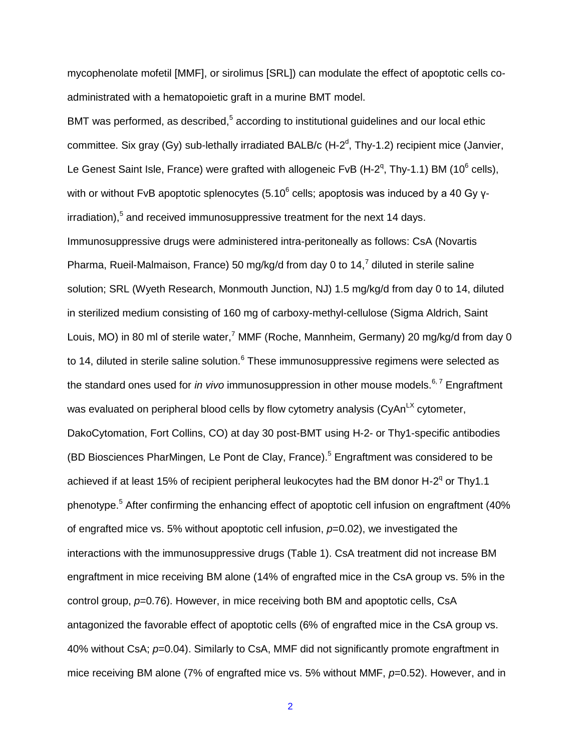mycophenolate mofetil [MMF], or sirolimus [SRL]) can modulate the effect of apoptotic cells coadministrated with a hematopoietic graft in a murine BMT model.

BMT was performed, as described,<sup>5</sup> according to institutional guidelines and our local ethic committee. Six gray (Gy) sub-lethally irradiated BALB/c (H-2<sup>d</sup>, Thy-1.2) recipient mice (Janvier, Le Genest Saint Isle, France) were grafted with allogeneic FvB (H-2<sup>q</sup>, Thy-1.1) BM (10<sup>6</sup> cells), with or without FvB apoptotic splenocytes (5.10<sup>6</sup> cells; apoptosis was induced by a 40 Gy γirradiation),<sup>5</sup> and received immunosuppressive treatment for the next 14 days. Immunosuppressive drugs were administered intra-peritoneally as follows: CsA (Novartis Pharma, Rueil-Malmaison, France) 50 mg/kg/d from day 0 to 14,<sup>7</sup> diluted in sterile saline solution; SRL (Wyeth Research, Monmouth Junction, NJ) 1.5 mg/kg/d from day 0 to 14, diluted in sterilized medium consisting of 160 mg of carboxy-methyl-cellulose (Sigma Aldrich, Saint Louis, MO) in 80 ml of sterile water,<sup>7</sup> MMF (Roche, Mannheim, Germany) 20 mg/kg/d from day 0 to 14, diluted in sterile saline solution.<sup>6</sup> These immunosuppressive regimens were selected as the standard ones used for *in vivo* immunosuppression in other mouse models.<sup>6, 7</sup> Engraftment was evaluated on peripheral blood cells by flow cytometry analysis (CyAn<sup>LX</sup> cytometer, DakoCytomation, Fort Collins, CO) at day 30 post-BMT using H-2- or Thy1-specific antibodies (BD Biosciences PharMingen, Le Pont de Clay, France).<sup>5</sup> Engraftment was considered to be achieved if at least 15% of recipient peripheral leukocytes had the BM donor H-2<sup>q</sup> or Thy1.1 phenotype.<sup>5</sup> After confirming the enhancing effect of apoptotic cell infusion on engraftment (40% of engrafted mice vs. 5% without apoptotic cell infusion, *p*=0.02), we investigated the interactions with the immunosuppressive drugs (Table 1). CsA treatment did not increase BM engraftment in mice receiving BM alone (14% of engrafted mice in the CsA group vs. 5% in the control group, *p*=0.76). However, in mice receiving both BM and apoptotic cells, CsA antagonized the favorable effect of apoptotic cells (6% of engrafted mice in the CsA group vs. 40% without CsA; *p*=0.04). Similarly to CsA, MMF did not significantly promote engraftment in mice receiving BM alone (7% of engrafted mice vs. 5% without MMF,  $p=0.52$ ). However, and in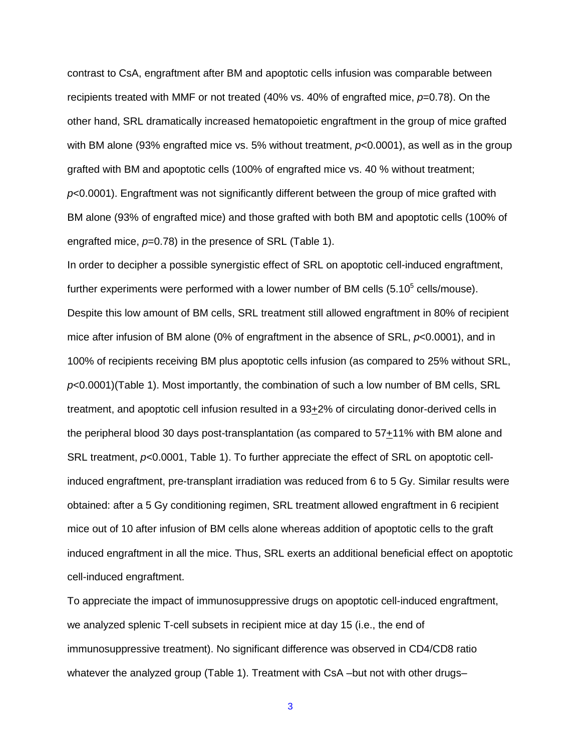contrast to CsA, engraftment after BM and apoptotic cells infusion was comparable between recipients treated with MMF or not treated (40% vs. 40% of engrafted mice,  $p=0.78$ ). On the other hand, SRL dramatically increased hematopoietic engraftment in the group of mice grafted with BM alone (93% engrafted mice vs. 5% without treatment,  $p<0.0001$ ), as well as in the group grafted with BM and apoptotic cells (100% of engrafted mice vs. 40 % without treatment; *p*<0.0001). Engraftment was not significantly different between the group of mice grafted with BM alone (93% of engrafted mice) and those grafted with both BM and apoptotic cells (100% of engrafted mice,  $p=0.78$ ) in the presence of SRL (Table 1).

In order to decipher a possible synergistic effect of SRL on apoptotic cell-induced engraftment, further experiments were performed with a lower number of BM cells (5.10<sup>5</sup> cells/mouse). Despite this low amount of BM cells, SRL treatment still allowed engraftment in 80% of recipient mice after infusion of BM alone (0% of engraftment in the absence of SRL, *p*<0.0001), and in 100% of recipients receiving BM plus apoptotic cells infusion (as compared to 25% without SRL, *p*<0.0001)(Table 1). Most importantly, the combination of such a low number of BM cells, SRL treatment, and apoptotic cell infusion resulted in a 93+2% of circulating donor-derived cells in the peripheral blood 30 days post-transplantation (as compared to 57+11% with BM alone and SRL treatment,  $p<0.0001$ , Table 1). To further appreciate the effect of SRL on apoptotic cellinduced engraftment, pre-transplant irradiation was reduced from 6 to 5 Gy. Similar results were obtained: after a 5 Gy conditioning regimen, SRL treatment allowed engraftment in 6 recipient mice out of 10 after infusion of BM cells alone whereas addition of apoptotic cells to the graft induced engraftment in all the mice. Thus, SRL exerts an additional beneficial effect on apoptotic cell-induced engraftment.

To appreciate the impact of immunosuppressive drugs on apoptotic cell-induced engraftment, we analyzed splenic T-cell subsets in recipient mice at day 15 (i.e., the end of immunosuppressive treatment). No significant difference was observed in CD4/CD8 ratio whatever the analyzed group (Table 1). Treatment with CsA –but not with other drugs–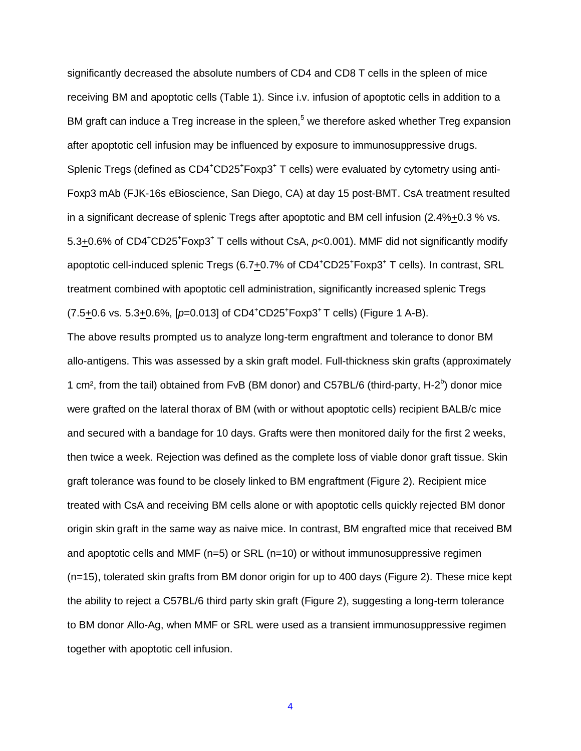significantly decreased the absolute numbers of CD4 and CD8 T cells in the spleen of mice receiving BM and apoptotic cells (Table 1). Since i.v. infusion of apoptotic cells in addition to a BM graft can induce a Treg increase in the spleen,<sup>5</sup> we therefore asked whether Treg expansion after apoptotic cell infusion may be influenced by exposure to immunosuppressive drugs. Splenic Tregs (defined as CD4<sup>+</sup>CD25<sup>+</sup>Foxp3<sup>+</sup> T cells) were evaluated by cytometry using anti-Foxp3 mAb (FJK-16s eBioscience, San Diego, CA) at day 15 post-BMT. CsA treatment resulted in a significant decrease of splenic Tregs after apoptotic and BM cell infusion (2.4%+0.3 % vs. 5.3+0.6% of CD4<sup>+</sup>CD25<sup>+</sup>Foxp3<sup>+</sup> T cells without CsA, p<0.001). MMF did not significantly modify apoptotic cell-induced splenic Tregs (6.7+0.7% of CD4<sup>+</sup>CD25<sup>+</sup>Foxp3<sup>+</sup> T cells). In contrast, SRL treatment combined with apoptotic cell administration, significantly increased splenic Tregs (7.5+0.6 vs. 5.3+0.6%, [*p*=0.013] of CD4<sup>+</sup>CD25<sup>+</sup>Foxp3<sup>+</sup> T cells) (Figure 1 A-B).

The above results prompted us to analyze long-term engraftment and tolerance to donor BM allo-antigens. This was assessed by a skin graft model. Full-thickness skin grafts (approximately 1 cm<sup>2</sup>, from the tail) obtained from FvB (BM donor) and C57BL/6 (third-party, H-2<sup>b</sup>) donor mice were grafted on the lateral thorax of BM (with or without apoptotic cells) recipient BALB/c mice and secured with a bandage for 10 days. Grafts were then monitored daily for the first 2 weeks, then twice a week. Rejection was defined as the complete loss of viable donor graft tissue. Skin graft tolerance was found to be closely linked to BM engraftment (Figure 2). Recipient mice treated with CsA and receiving BM cells alone or with apoptotic cells quickly rejected BM donor origin skin graft in the same way as naive mice. In contrast, BM engrafted mice that received BM and apoptotic cells and MMF ( $n=5$ ) or SRL ( $n=10$ ) or without immunosuppressive regimen (n=15), tolerated skin grafts from BM donor origin for up to 400 days (Figure 2). These mice kept the ability to reject a C57BL/6 third party skin graft (Figure 2), suggesting a long-term tolerance to BM donor Allo-Ag, when MMF or SRL were used as a transient immunosuppressive regimen together with apoptotic cell infusion.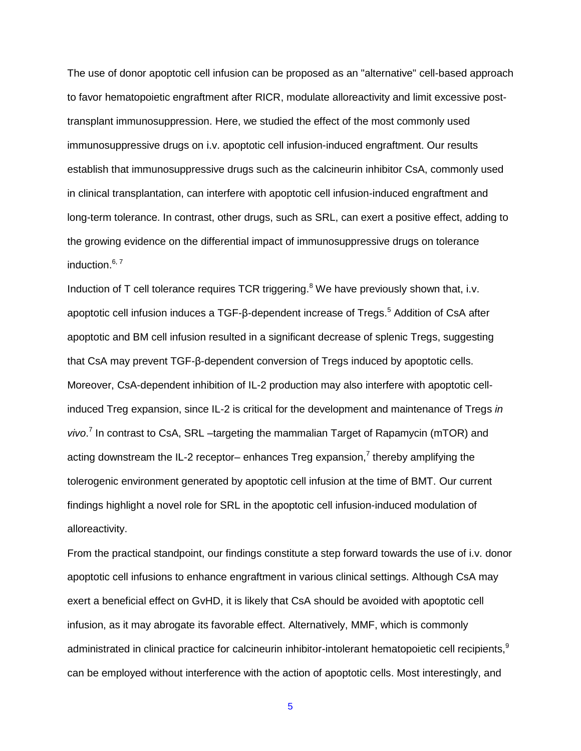The use of donor apoptotic cell infusion can be proposed as an "alternative" cell-based approach to favor hematopoietic engraftment after RICR, modulate alloreactivity and limit excessive posttransplant immunosuppression. Here, we studied the effect of the most commonly used immunosuppressive drugs on i.v. apoptotic cell infusion-induced engraftment. Our results establish that immunosuppressive drugs such as the calcineurin inhibitor CsA, commonly used in clinical transplantation, can interfere with apoptotic cell infusion-induced engraftment and long-term tolerance. In contrast, other drugs, such as SRL, can exert a positive effect, adding to the growing evidence on the differential impact of immunosuppressive drugs on tolerance induction.<sup>6,7</sup>

Induction of T cell tolerance requires TCR triggering.<sup>8</sup> We have previously shown that, i.v. apoptotic cell infusion induces a TGF-β-dependent increase of Tregs. <sup>5</sup> Addition of CsA after apoptotic and BM cell infusion resulted in a significant decrease of splenic Tregs, suggesting that CsA may prevent TGF-β-dependent conversion of Tregs induced by apoptotic cells. Moreover, CsA-dependent inhibition of IL-2 production may also interfere with apoptotic cellinduced Treg expansion, since IL-2 is critical for the development and maintenance of Tregs *in*  vivo.<sup>7</sup> In contrast to CsA, SRL -targeting the mammalian Target of Rapamycin (mTOR) and acting downstream the IL-2 receptor– enhances Treg expansion,<sup>7</sup> thereby amplifying the tolerogenic environment generated by apoptotic cell infusion at the time of BMT. Our current findings highlight a novel role for SRL in the apoptotic cell infusion-induced modulation of alloreactivity.

From the practical standpoint, our findings constitute a step forward towards the use of i.v. donor apoptotic cell infusions to enhance engraftment in various clinical settings. Although CsA may exert a beneficial effect on GvHD, it is likely that CsA should be avoided with apoptotic cell infusion, as it may abrogate its favorable effect. Alternatively, MMF, which is commonly administrated in clinical practice for calcineurin inhibitor-intolerant hematopoietic cell recipients,<sup>9</sup> can be employed without interference with the action of apoptotic cells. Most interestingly, and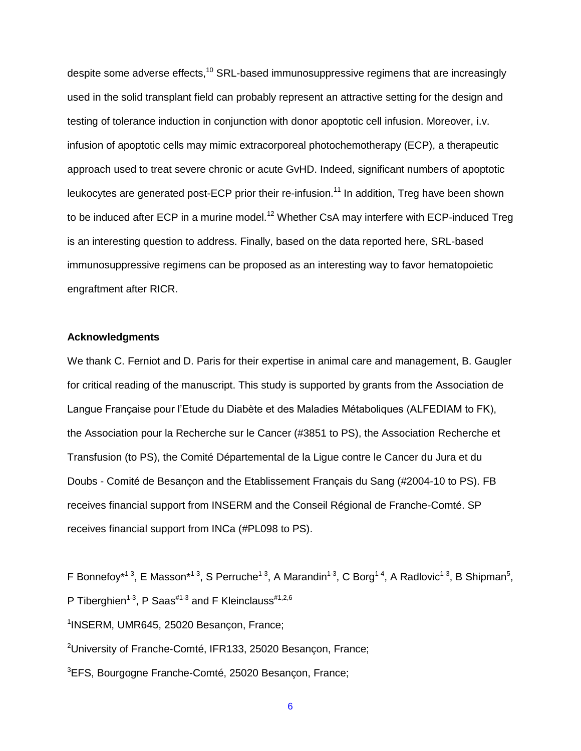despite some adverse effects,<sup>10</sup> SRL-based immunosuppressive regimens that are increasingly used in the solid transplant field can probably represent an attractive setting for the design and testing of tolerance induction in conjunction with donor apoptotic cell infusion. Moreover, i.v. infusion of apoptotic cells may mimic extracorporeal photochemotherapy (ECP), a therapeutic approach used to treat severe chronic or acute GvHD. Indeed, significant numbers of apoptotic leukocytes are generated post-ECP prior their re-infusion.<sup>11</sup> In addition, Treg have been shown to be induced after ECP in a murine model.<sup>12</sup> Whether CsA may interfere with ECP-induced Treg is an interesting question to address. Finally, based on the data reported here, SRL-based immunosuppressive regimens can be proposed as an interesting way to favor hematopoietic engraftment after RICR.

#### **Acknowledgments**

We thank C. Ferniot and D. Paris for their expertise in animal care and management, B. Gaugler for critical reading of the manuscript. This study is supported by grants from the Association de Langue Française pour l'Etude du Diabète et des Maladies Métaboliques (ALFEDIAM to FK), the Association pour la Recherche sur le Cancer (#3851 to PS), the Association Recherche et Transfusion (to PS), the Comité Départemental de la Ligue contre le Cancer du Jura et du Doubs - Comité de Besançon and the Etablissement Français du Sang (#2004-10 to PS). FB receives financial support from INSERM and the Conseil Régional de Franche-Comté. SP receives financial support from INCa (#PL098 to PS).

F Bonnefoy\*<sup>1-3</sup>, E Masson\*<sup>1-3</sup>, S Perruche<sup>1-3</sup>, A Marandin<sup>1-3</sup>, C Borg<sup>1-4</sup>, A Radlovic<sup>1-3</sup>, B Shipman<sup>5</sup>, P Tiberghien<sup>1-3</sup>, P Saas<sup>#1-3</sup> and F Kleinclauss<sup>#1,2,6</sup>

1 INSERM, UMR645, 25020 Besançon, France;

<sup>2</sup>University of Franche-Comté, IFR133, 25020 Besancon, France;

<sup>3</sup>EFS, Bourgogne Franche-Comté, 25020 Besançon, France;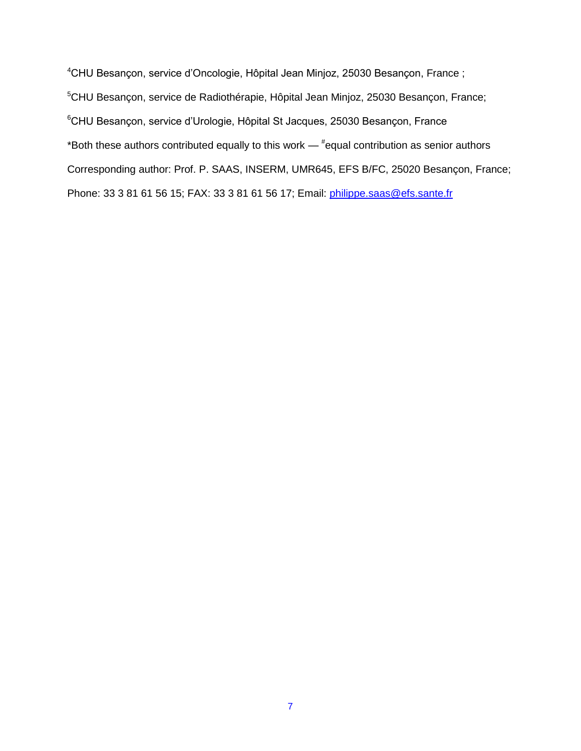<sup>4</sup>CHU Besançon, service d'Oncologie, Hôpital Jean Minjoz, 25030 Besançon, France ; <sup>5</sup>CHU Besançon, service de Radiothérapie, Hôpital Jean Minjoz, 25030 Besançon, France; <sup>6</sup>CHU Besançon, service d'Urologie, Hôpital St Jacques, 25030 Besançon, France \*Both these authors contributed equally to this work —  $*$ equal contribution as senior authors Corresponding author: Prof. P. SAAS, INSERM, UMR645, EFS B/FC, 25020 Besançon, France; Phone: 33 3 81 61 56 15; FAX: 33 3 81 61 56 17; Email: *philippe.saas@efs.sante.fr*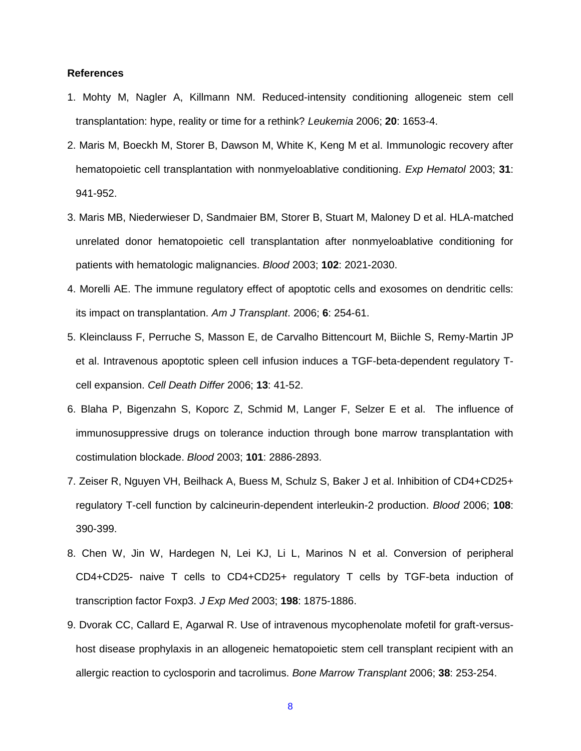#### **References**

- 1. Mohty M, Nagler A, Killmann NM. Reduced-intensity conditioning allogeneic stem cell transplantation: hype, reality or time for a rethink? *Leukemia* 2006; **20**: 1653-4.
- 2. Maris M, Boeckh M, Storer B, Dawson M, White K, Keng M et al. Immunologic recovery after hematopoietic cell transplantation with nonmyeloablative conditioning. *Exp Hematol* 2003; **31**: 941-952.
- 3. Maris MB, Niederwieser D, Sandmaier BM, Storer B, Stuart M, Maloney D et al. HLA-matched unrelated donor hematopoietic cell transplantation after nonmyeloablative conditioning for patients with hematologic malignancies. *Blood* 2003; **102**: 2021-2030.
- 4. Morelli AE. The immune regulatory effect of apoptotic cells and exosomes on dendritic cells: its impact on transplantation. *Am J Transplant*. 2006; **6**: 254-61.
- 5. Kleinclauss F, Perruche S, Masson E, de Carvalho Bittencourt M, Biichle S, Remy-Martin JP et al. Intravenous apoptotic spleen cell infusion induces a TGF-beta-dependent regulatory Tcell expansion. *Cell Death Differ* 2006; **13**: 41-52.
- 6. Blaha P, Bigenzahn S, Koporc Z, Schmid M, Langer F, Selzer E et al. The influence of immunosuppressive drugs on tolerance induction through bone marrow transplantation with costimulation blockade. *Blood* 2003; **101**: 2886-2893.
- 7. Zeiser R, Nguyen VH, Beilhack A, Buess M, Schulz S, Baker J et al. Inhibition of CD4+CD25+ regulatory T-cell function by calcineurin-dependent interleukin-2 production. *Blood* 2006; **108**: 390-399.
- 8. Chen W, Jin W, Hardegen N, Lei KJ, Li L, Marinos N et al. Conversion of peripheral CD4+CD25- naive T cells to CD4+CD25+ regulatory T cells by TGF-beta induction of transcription factor Foxp3. *J Exp Med* 2003; **198**: 1875-1886.
- 9. Dvorak CC, Callard E, Agarwal R. Use of intravenous mycophenolate mofetil for graft-versushost disease prophylaxis in an allogeneic hematopoietic stem cell transplant recipient with an allergic reaction to cyclosporin and tacrolimus. *Bone Marrow Transplant* 2006; **38**: 253-254.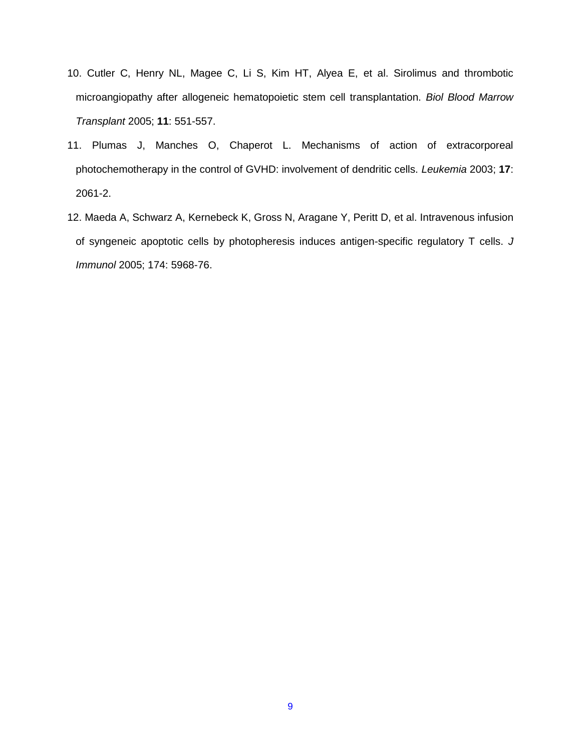- 10. Cutler C, Henry NL, Magee C, Li S, Kim HT, Alyea E, et al. Sirolimus and thrombotic microangiopathy after allogeneic hematopoietic stem cell transplantation. *Biol Blood Marrow Transplant* 2005; **11**: 551-557.
- 11. Plumas J, Manches O, Chaperot L. Mechanisms of action of extracorporeal photochemotherapy in the control of GVHD: involvement of dendritic cells. *Leukemia* 2003; **17**: 2061-2.
- 12. Maeda A, Schwarz A, Kernebeck K, Gross N, Aragane Y, Peritt D, et al. Intravenous infusion of syngeneic apoptotic cells by photopheresis induces antigen-specific regulatory T cells. *J Immunol* 2005; 174: 5968-76.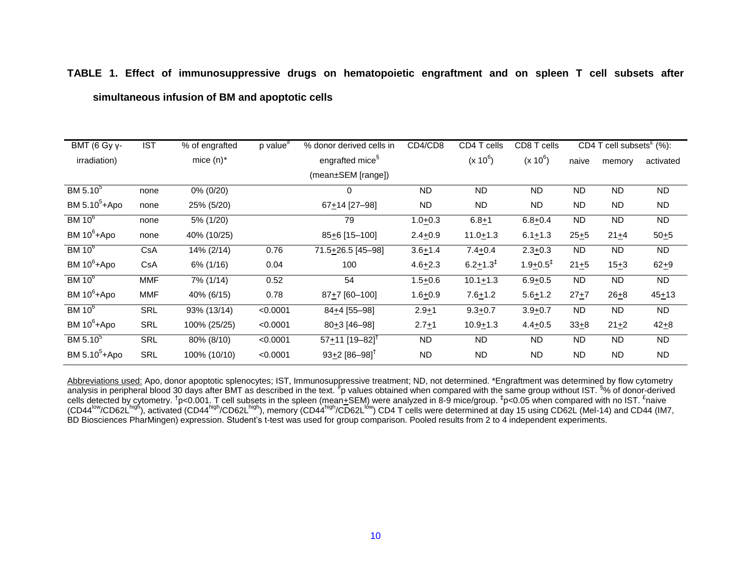### **TABLE 1. Effect of immunosuppressive drugs on hematopoietic engraftment and on spleen T cell subsets after simultaneous infusion of BM and apoptotic cells**

| <b>BMT (6 Gy y-</b>       | <b>IST</b> | % of engrafted          | $p$ value <sup>#</sup> | % donor derived cells in        | CD4/CD8     | CD4 T cells            | CD8 T cells              | CD4 T cell subsets <sup>£</sup> $(\%)$ : |           |           |
|---------------------------|------------|-------------------------|------------------------|---------------------------------|-------------|------------------------|--------------------------|------------------------------------------|-----------|-----------|
| irradiation)              |            | mice $(n)$ <sup>*</sup> |                        | engrafted mice <sup>9</sup>     |             | $(x 10^6)$             | $(x 10^6)$               | naive                                    | memory    | activated |
|                           |            |                         |                        | (mean±SEM [range])              |             |                        |                          |                                          |           |           |
| BM 5.10 <sup>5</sup>      | none       | 0% (0/20)               |                        | 0                               | <b>ND</b>   | ND                     | <b>ND</b>                | <b>ND</b>                                | <b>ND</b> | <b>ND</b> |
| BM 5.10 <sup>5</sup> +Apo | none       | 25% (5/20)              |                        | 67+14 [27-98]                   | ND.         | ND                     | <b>ND</b>                | <b>ND</b>                                | <b>ND</b> | <b>ND</b> |
| BM $10^6$                 | none       | 5% (1/20)               |                        | 79                              | $1.0 + 0.3$ | $6.8 + 1$              | $6.8 + 0.4$              | <b>ND</b>                                | <b>ND</b> | <b>ND</b> |
| BM $10^6$ +Apo            | none       | 40% (10/25)             |                        | 85+6 [15-100]                   | $2.4 + 0.9$ | $11.0 + 1.3$           | $6.1 + 1.3$              | $25 + 5$                                 | $21 + 4$  | $50+5$    |
| BM $10^6$                 | CsA        | 14% (2/14)              | 0.76                   | 71.5+26.5 [45-98]               | $3.6 + 1.4$ | $7.4 + 0.4$            | $2.3 + 0.3$              | <b>ND</b>                                | <b>ND</b> | <b>ND</b> |
| BM $10^6$ +Apo            | CsA        | 6% (1/16)               | 0.04                   | 100                             | $4.6 + 2.3$ | $6.2 + 1.3^{\ddagger}$ | $1.9 + 0.5$ <sup>‡</sup> | $21 + 5$                                 | $15+3$    | $62 + 9$  |
| BM $10^6$                 | <b>MMF</b> | 7% (1/14)               | 0.52                   | 54                              | $1.5 + 0.6$ | $10.1 + 1.3$           | $6.9 + 0.5$              | <b>ND</b>                                | ND        | <b>ND</b> |
| BM $10^6$ +Apo            | <b>MMF</b> | 40% (6/15)              | 0.78                   | 87+7 [60-100]                   | $1.6 + 0.9$ | $7.6 + 1.2$            | $5.6 + 1.2$              | $27 + 7$                                 | $26 + 8$  | $45 + 13$ |
| BM $10^6$                 | <b>SRL</b> | 93% (13/14)             | < 0.0001               | 84+4 [55-98]                    | $2.9 + 1$   | $9.3 + 0.7$            | $3.9 + 0.7$              | <b>ND</b>                                | <b>ND</b> | <b>ND</b> |
| BM $10^6$ +Apo            | <b>SRL</b> | 100% (25/25)            | < 0.0001               | 80+3 [46-98]                    | $2.7 + 1$   | $10.9 + 1.3$           | $4.4 + 0.5$              | $33 + 8$                                 | $21 + 2$  | $42 + 8$  |
| BM $5.105$                | <b>SRL</b> | 80% (8/10)              | < 0.0001               | 57+11 [19-82] <sup>†</sup>      | <b>ND</b>   | <b>ND</b>              | <b>ND</b>                | <b>ND</b>                                | <b>ND</b> | <b>ND</b> |
| BM $5.10^{5}$ +Apo        | <b>SRL</b> | 100% (10/10)            | < 0.0001               | 93 $\pm$ 2 [86–98] <sup>T</sup> | <b>ND</b>   | <b>ND</b>              | <b>ND</b>                | <b>ND</b>                                | <b>ND</b> | <b>ND</b> |

Abbreviations used: Apo, donor apoptotic splenocytes; IST, Immunosuppressive treatment; ND, not determined. \*Engraftment was determined by flow cytometry analysis in peripheral blood 30 days after BMT as described in the text. <sup>#</sup>p values obtained when compared with the same group without IST. <sup>§</sup>% of donor-derived cells detected by cytometry. <sup>†</sup>p<0.001. T cell subsets in the spleen (mean+SEM) were analyzed in 8-9 mice/group. <sup>‡</sup>p<0.05 when compared with no IST. <sup>£</sup>naive (CD44<sup>low</sup>/CD62L<sup>high</sup>), activated (CD44<sup>high</sup>/CD62L<sup>high</sup>), memory (CD44<sup>high</sup>/CD62L<sup>lów</sup>) CD4 T cells were determined at day 15 using CD62L (Mel-14) and CD44 (IM7, BD Biosciences PharMingen) expression. Student's t-test was used for group comparison. Pooled results from 2 to 4 independent experiments.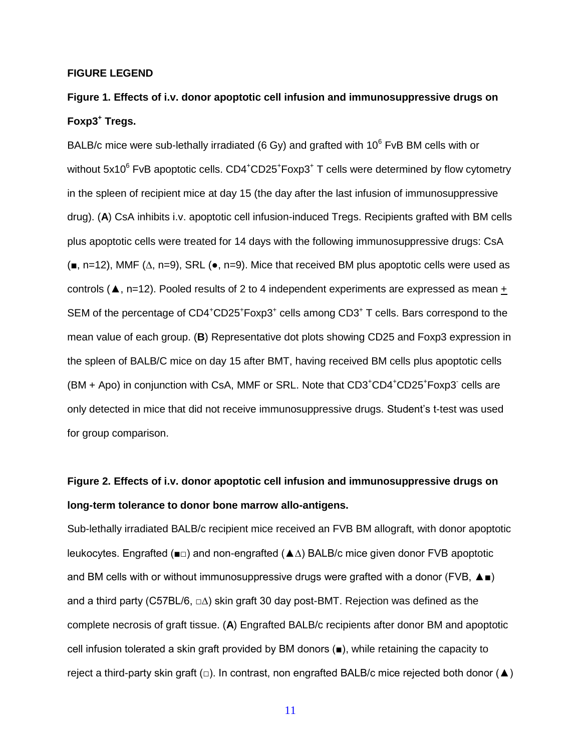#### **FIGURE LEGEND**

### **Figure 1. Effects of i.v. donor apoptotic cell infusion and immunosuppressive drugs on Foxp3<sup>+</sup> Tregs.**

BALB/c mice were sub-lethally irradiated (6 Gy) and grafted with  $10^6$  FvB BM cells with or without 5x10<sup>6</sup> FvB apoptotic cells. CD4<sup>+</sup>CD25<sup>+</sup>Foxp3<sup>+</sup> T cells were determined by flow cytometry in the spleen of recipient mice at day 15 (the day after the last infusion of immunosuppressive drug). (**A**) CsA inhibits i.v. apoptotic cell infusion-induced Tregs. Recipients grafted with BM cells plus apoptotic cells were treated for 14 days with the following immunosuppressive drugs: CsA (■, n=12), MMF (∆, n=9), SRL (●, n=9). Mice that received BM plus apoptotic cells were used as controls ( $\blacktriangle$ , n=12). Pooled results of 2 to 4 independent experiments are expressed as mean + SEM of the percentage of CD4<sup>+</sup>CD25<sup>+</sup>Foxp3<sup>+</sup> cells among CD3<sup>+</sup> T cells. Bars correspond to the mean value of each group. (**B**) Representative dot plots showing CD25 and Foxp3 expression in the spleen of BALB/C mice on day 15 after BMT, having received BM cells plus apoptotic cells (BM + Apo) in conjunction with CsA, MMF or SRL. Note that CD3<sup>+</sup>CD4<sup>+</sup>CD25<sup>+</sup>Foxp3<sup>-</sup> cells are only detected in mice that did not receive immunosuppressive drugs. Student's t-test was used for group comparison.

### **Figure 2. Effects of i.v. donor apoptotic cell infusion and immunosuppressive drugs on long-term tolerance to donor bone marrow allo-antigens.**

Sub-lethally irradiated BALB/c recipient mice received an FVB BM allograft, with donor apoptotic leukocytes. Engrafted (■□) and non-engrafted (▲∆) BALB/c mice given donor FVB apoptotic and BM cells with or without immunosuppressive drugs were grafted with a donor (FVB,  $\triangle$ ■) and a third party (C57BL/6, □∆) skin graft 30 day post-BMT. Rejection was defined as the complete necrosis of graft tissue. (**A**) Engrafted BALB/c recipients after donor BM and apoptotic cell infusion tolerated a skin graft provided by BM donors (■), while retaining the capacity to reject a third-party skin graft  $(\Box)$ . In contrast, non engrafted BALB/c mice rejected both donor ( $\blacktriangle$ )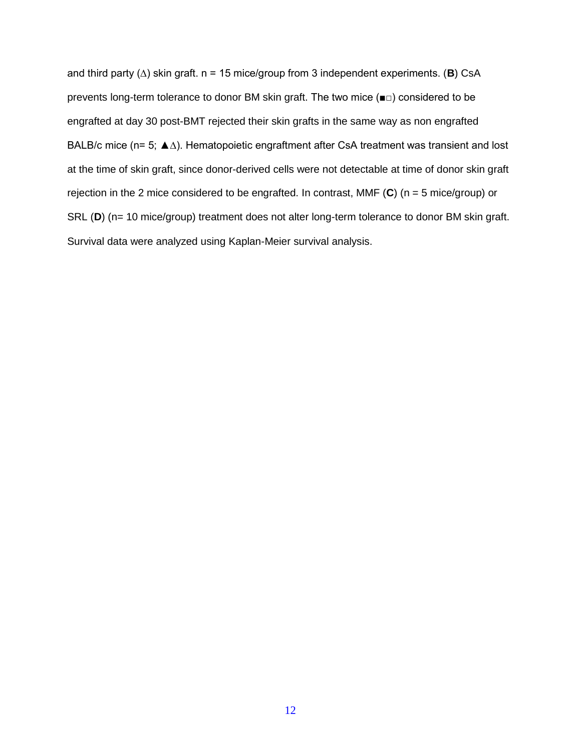and third party (∆) skin graft. n = 15 mice/group from 3 independent experiments. (**B**) CsA prevents long-term tolerance to donor BM skin graft. The two mice (■□) considered to be engrafted at day 30 post-BMT rejected their skin grafts in the same way as non engrafted BALB/c mice (n= 5; ▲∆). Hematopoietic engraftment after CsA treatment was transient and lost at the time of skin graft, since donor-derived cells were not detectable at time of donor skin graft rejection in the 2 mice considered to be engrafted. In contrast, MMF (**C**) (n = 5 mice/group) or SRL (D) (n= 10 mice/group) treatment does not alter long-term tolerance to donor BM skin graft. Survival data were analyzed using Kaplan-Meier survival analysis.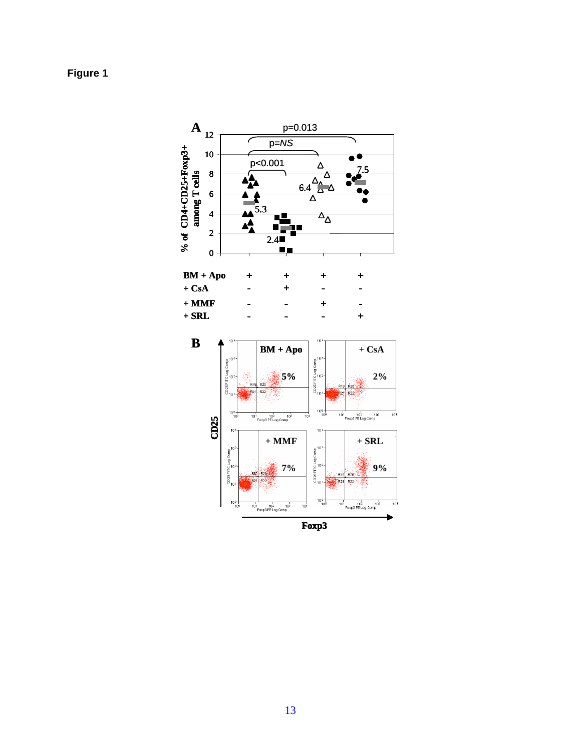**Figure 1**